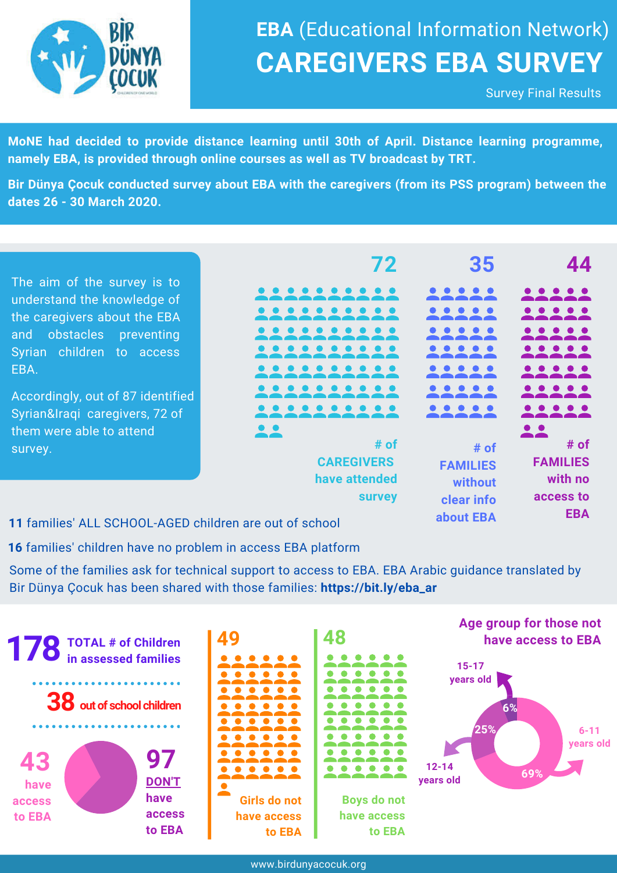

# **CAREGIVERS EBA SURVEY EBA** (Educational Information Network)

Survey Final Results

**MoNE had decided to provide distance learning until 30th of April. Distance learning programme, namely EBA, is provided through online courses as well as TV broadcast by TRT.**

**Bir Dünya Çocuk conducted survey about EBA with the caregivers (from its PSS program) between the dates 26 - 30 March 2020.**

The aim of the survey is to understand the knowledge of the caregivers about the EBA and obstacles preventing Syrian children to access EBA.

Accordingly, out of 87 identified Syrian&Iraqi caregivers, 72 of them were able to attend survey.

| 72                           | 35              |                                                                                                                          |
|------------------------------|-----------------|--------------------------------------------------------------------------------------------------------------------------|
|                              |                 | $\bullet$ $\bullet$ $\bullet$                                                                                            |
|                              |                 | $\bullet\hspace{0.05cm} \bullet\hspace{0.05cm}\bullet\hspace{0.05cm}\bullet\hspace{0.05cm}\bullet\hspace{0.05cm}\bullet$ |
|                              |                 | $\bullet$ $\bullet$ $\bullet$ $\bullet$                                                                                  |
|                              |                 | $\bullet\bullet\bullet\bullet$                                                                                           |
|                              |                 |                                                                                                                          |
|                              |                 | $\bullet$ $\bullet$ $\bullet$                                                                                            |
|                              |                 |                                                                                                                          |
|                              |                 |                                                                                                                          |
| # of                         | # of            | # of                                                                                                                     |
| <b>CAREGIVERS</b>            | <b>FAMILIES</b> | <b>FAMILIES</b>                                                                                                          |
| have attended                | without         | with no                                                                                                                  |
| <b>survey</b>                | clear info      | access to                                                                                                                |
| المستطيعين كالمتقدد متسابقات | about EBA       | <b>EBA</b>                                                                                                               |

**11** families' ALL SCHOOL-AGED children are out of school

**16** families' children have no problem in access EBA platform

Some of the families ask for technical support to access to EBA. EBA Arabic guidance translated by Bir Dünya Çocuk has been shared with those families: **https://bit.ly/eba\_ar**

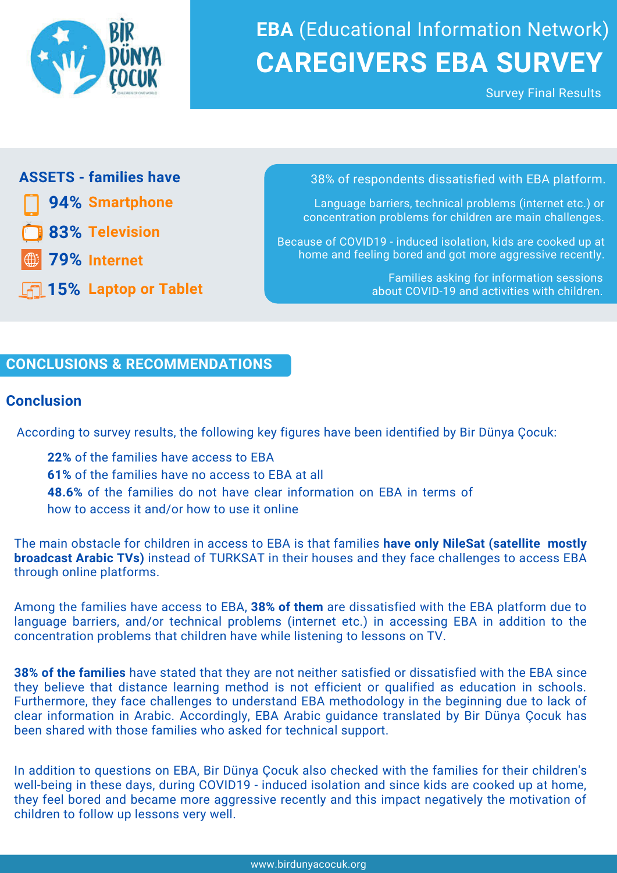

# **CAREGIVERS EBA SURVEY EBA** (Educational Information Network)

Survey Final Results

**94% Smartphone**

**83% Television**

**79% Internet**

**15% Laptop or Tablet**

**ASSETS - families have 1988 1988 1988 1988 1988 1988 1988 1988 1988 1989 1989 1989 1989 1989 1989 1989 1989 1989 1989 1989 1989 1989 1989 1989 1989 1989 1989 198** 

Language barriers, technical problems (internet etc.) or concentration problems for children are main challenges.

Because of COVID19 - induced isolation, kids are cooked up at home and feeling bored and got more aggressive recently.

> Families asking for information sessions about COVID-19 and activities with children.

### **CONCLUSIONS & RECOMMENDATIONS**

#### **Conclusion**

According to survey results, the following key figures have been identified by Bir Dünya Çocuk:

**22%** of the families have access to EBA **61%** of the families have no access to EBA at all **48.6%** of the families do not have clear information on EBA in terms of how to access it and/or how to use it online

The main obstacle for children in access to EBA is that families **have only NileSat (satellite mostly broadcast Arabic TVs)** instead of TURKSAT in their houses and they face challenges to access EBA through online platforms.

Among the families have access to EBA, **38% of them** are dissatisfied with the EBA platform due to language barriers, and/or technical problems (internet etc.) in accessing EBA in addition to the concentration problems that children have while listening to lessons on TV.

**38% of the families** have stated that they are not neither satisfied or dissatisfied with the EBA since they believe that distance learning method is not efficient or qualified as education in schools. Furthermore, they face challenges to understand EBA methodology in the beginning due to lack of clear information in Arabic. Accordingly, EBA Arabic guidance translated by Bir Dünya Çocuk has been shared with those families who asked for technical support.

In addition to questions on EBA, Bir Dünya Çocuk also checked with the families for their children's well-being in these days, during COVID19 - induced isolation and since kids are cooked up at home, they feel bored and became more aggressive recently and this impact negatively the motivation of children to follow up lessons very well.